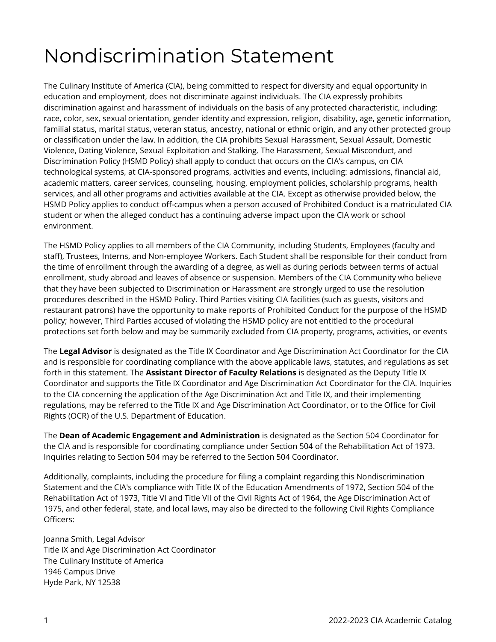## Nondiscrimination Statement

The Culinary Institute of America (CIA), being committed to respect for diversity and equal opportunity in education and employment, does not discriminate against individuals. The CIA expressly prohibits discrimination against and harassment of individuals on the basis of any protected characteristic, including: race, color, sex, sexual orientation, gender identity and expression, religion, disability, age, genetic information, familial status, marital status, veteran status, ancestry, national or ethnic origin, and any other protected group or classification under the law. In addition, the CIA prohibits Sexual Harassment, Sexual Assault, Domestic Violence, Dating Violence, Sexual Exploitation and Stalking. The Harassment, Sexual Misconduct, and Discrimination Policy (HSMD Policy) shall apply to conduct that occurs on the CIA's campus, on CIA technological systems, at CIA-sponsored programs, activities and events, including: admissions, financial aid, academic matters, career services, counseling, housing, employment policies, scholarship programs, health services, and all other programs and activities available at the CIA. Except as otherwise provided below, the HSMD Policy applies to conduct off-campus when a person accused of Prohibited Conduct is a matriculated CIA student or when the alleged conduct has a continuing adverse impact upon the CIA work or school environment.

The HSMD Policy applies to all members of the CIA Community, including Students, Employees (faculty and staff), Trustees, Interns, and Non-employee Workers. Each Student shall be responsible for their conduct from the time of enrollment through the awarding of a degree, as well as during periods between terms of actual enrollment, study abroad and leaves of absence or suspension. Members of the CIA Community who believe that they have been subjected to Discrimination or Harassment are strongly urged to use the resolution procedures described in the HSMD Policy. Third Parties visiting CIA facilities (such as guests, visitors and restaurant patrons) have the opportunity to make reports of Prohibited Conduct for the purpose of the HSMD policy; however, Third Parties accused of violating the HSMD policy are not entitled to the procedural protections set forth below and may be summarily excluded from CIA property, programs, activities, or events

The **Legal Advisor** is designated as the Title IX Coordinator and Age Discrimination Act Coordinator for the CIA and is responsible for coordinating compliance with the above applicable laws, statutes, and regulations as set forth in this statement. The **Assistant Director of Faculty Relations** is designated as the Deputy Title IX Coordinator and supports the Title IX Coordinator and Age Discrimination Act Coordinator for the CIA. Inquiries to the CIA concerning the application of the Age Discrimination Act and Title IX, and their implementing regulations, may be referred to the Title IX and Age Discrimination Act Coordinator, or to the Office for Civil Rights (OCR) of the U.S. Department of Education.

The **Dean of Academic Engagement and Administration** is designated as the Section 504 Coordinator for the CIA and is responsible for coordinating compliance under Section 504 of the Rehabilitation Act of 1973. Inquiries relating to Section 504 may be referred to the Section 504 Coordinator.

Additionally, complaints, including the procedure for filing a complaint regarding this Nondiscrimination Statement and the CIA's compliance with Title IX of the Education Amendments of 1972, Section 504 of the Rehabilitation Act of 1973, Title VI and Title VII of the Civil Rights Act of 1964, the Age Discrimination Act of 1975, and other federal, state, and local laws, may also be directed to the following Civil Rights Compliance Officers:

Joanna Smith, Legal Advisor Title IX and Age Discrimination Act Coordinator The Culinary Institute of America 1946 Campus Drive Hyde Park, NY 12538